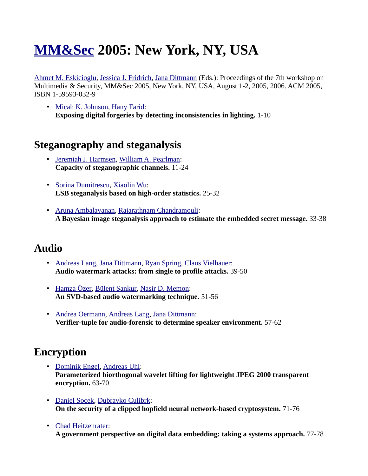# **[MM&Sec](http://www.informatik.uni-trier.de/~ley/db/conf/mmsec/index.html) 2005: New York, NY, USA**

[Ahmet M. Eskicioglu,](http://www.informatik.uni-trier.de/~ley/db/indices/a-tree/e/Eskicioglu:Ahmet_M=.html) [Jessica J. Fridrich,](http://www.informatik.uni-trier.de/~ley/db/indices/a-tree/f/Fridrich:Jessica_J=.html) [Jana Dittmann](http://www.informatik.uni-trier.de/~ley/db/indices/a-tree/d/Dittmann:Jana.html) (Eds.): Proceedings of the 7th workshop on Multimedia & Security, MM&Sec 2005, New York, NY, USA, August 1-2, 2005, 2006. ACM 2005, ISBN 1-59593-032-9

• [Micah K. Johnson,](http://www.informatik.uni-trier.de/~ley/db/indices/a-tree/j/Johnson:Micah_K=.html) [Hany Farid:](http://www.informatik.uni-trier.de/~ley/db/indices/a-tree/f/Farid:Hany.html) **Exposing digital forgeries by detecting inconsistencies in lighting.** 1-10

#### **Steganography and steganalysis**

- • [Jeremiah J. Harmsen,](http://www.informatik.uni-trier.de/~ley/db/indices/a-tree/h/Harmsen:Jeremiah_J=.html) [William A. Pearlman:](http://www.informatik.uni-trier.de/~ley/db/indices/a-tree/p/Pearlman:William_A=.html) **Capacity of steganographic channels.** 11-24
- • [Sorina Dumitrescu,](http://www.informatik.uni-trier.de/~ley/db/indices/a-tree/d/Dumitrescu:Sorina.html) [Xiaolin Wu:](http://www.informatik.uni-trier.de/~ley/db/indices/a-tree/w/Wu:Xiaolin.html) **LSB steganalysis based on high-order statistics.** 25-32
- • [Aruna Ambalavanan,](http://www.informatik.uni-trier.de/~ley/db/indices/a-tree/a/Ambalavanan:Aruna.html) [Rajarathnam Chandramouli:](http://www.informatik.uni-trier.de/~ley/db/indices/a-tree/c/Chandramouli:Rajarathnam.html) **A Bayesian image steganalysis approach to estimate the embedded secret message.** 33-38

#### **Audio**

- • [Andreas Lang,](http://www.informatik.uni-trier.de/~ley/db/indices/a-tree/l/Lang:Andreas.html) [Jana Dittmann,](http://www.informatik.uni-trier.de/~ley/db/indices/a-tree/d/Dittmann:Jana.html) [Ryan Spring,](http://www.informatik.uni-trier.de/~ley/db/indices/a-tree/s/Spring:Ryan.html) [Claus Vielhauer:](http://www.informatik.uni-trier.de/~ley/db/indices/a-tree/v/Vielhauer:Claus.html) **Audio watermark attacks: from single to profile attacks.** 39-50
- • [Hamza Özer,](http://www.informatik.uni-trier.de/~ley/db/indices/a-tree/=/=Ouml=zer:Hamza.html) [Bülent Sankur,](http://www.informatik.uni-trier.de/~ley/db/indices/a-tree/s/Sankur:B=uuml=lent.html) [Nasir D. Memon:](http://www.informatik.uni-trier.de/~ley/db/indices/a-tree/m/Memon:Nasir_D=.html) **An SVD-based audio watermarking technique.** 51-56
- • [Andrea Oermann,](http://www.informatik.uni-trier.de/~ley/db/indices/a-tree/o/Oermann:Andrea.html) [Andreas Lang,](http://www.informatik.uni-trier.de/~ley/db/indices/a-tree/l/Lang:Andreas.html) [Jana Dittmann:](http://www.informatik.uni-trier.de/~ley/db/indices/a-tree/d/Dittmann:Jana.html) **Verifier-tuple for audio-forensic to determine speaker environment.** 57-62

#### **Encryption**

- • [Dominik Engel,](http://www.informatik.uni-trier.de/~ley/db/indices/a-tree/e/Engel:Dominik.html) [Andreas Uhl:](http://www.informatik.uni-trier.de/~ley/db/indices/a-tree/u/Uhl:Andreas.html) **Parameterized biorthogonal wavelet lifting for lightweight JPEG 2000 transparent encryption.** 63-70
- • [Daniel Socek,](http://www.informatik.uni-trier.de/~ley/db/indices/a-tree/s/Socek:Daniel.html) [Dubravko Culibrk:](http://www.informatik.uni-trier.de/~ley/db/indices/a-tree/c/Culibrk:Dubravko.html) **On the security of a clipped hopfield neural network-based cryptosystem.** 71-76
- • [Chad Heitzenrater:](http://www.informatik.uni-trier.de/~ley/db/indices/a-tree/h/Heitzenrater:Chad.html) **A government perspective on digital data embedding: taking a systems approach.** 77-78